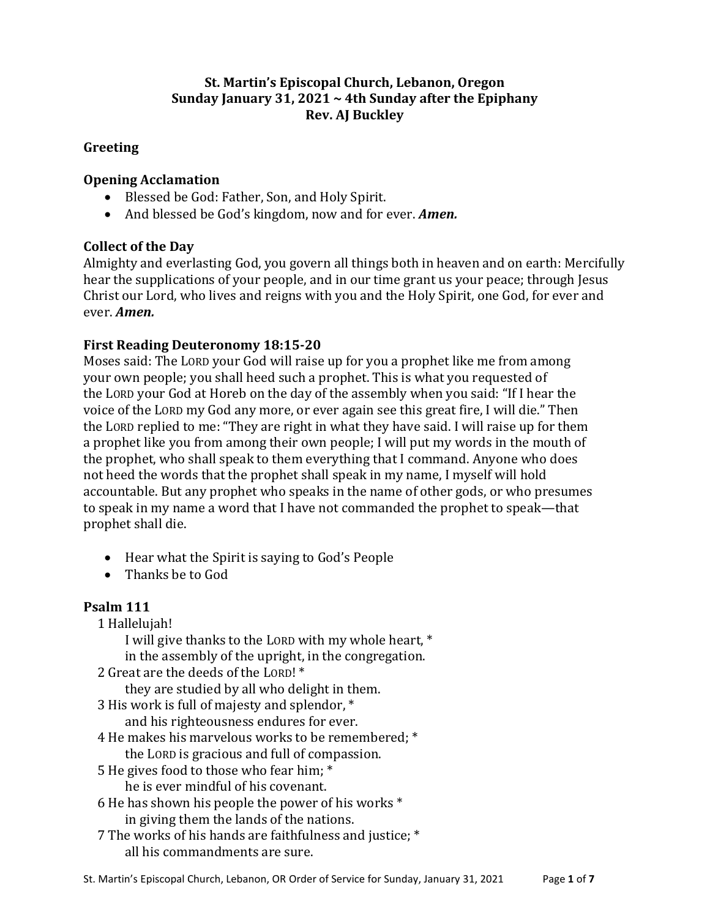# **St. Martin's Episcopal Church, Lebanon, Oregon Sunday January 31, 2021 ~ 4th Sunday after the Epiphany Rev. AJ Buckley**

# **Greeting**

# **Opening Acclamation**

- Blessed be God: Father, Son, and Holy Spirit.
- And blessed be God's kingdom, now and for ever. *Amen.*

# **Collect of the Day**

Almighty and everlasting God, you govern all things both in heaven and on earth: Mercifully hear the supplications of your people, and in our time grant us your peace; through Jesus Christ our Lord, who lives and reigns with you and the Holy Spirit, one God, for ever and ever. *Amen.*

# **First Reading Deuteronomy 18:15-20**

Moses said: The LORD your God will raise up for you a prophet like me from among your own people; you shall heed such a prophet. This is what you requested of the LORD your God at Horeb on the day of the assembly when you said: "If I hear the voice of the LORD my God any more, or ever again see this great fire, I will die." Then the LORD replied to me: "They are right in what they have said. I will raise up for them a prophet like you from among their own people; I will put my words in the mouth of the prophet, who shall speak to them everything that I command. Anyone who does not heed the words that the prophet shall speak in my name, I myself will hold accountable. But any prophet who speaks in the name of other gods, or who presumes to speak in my name a word that I have not commanded the prophet to speak—that prophet shall die.

- Hear what the Spirit is saying to God's People
- Thanks be to God

# **Psalm 111**

- 1 Hallelujah!
	- I will give thanks to the LORD with my whole heart, \*
	- in the assembly of the upright, in the congregation.
- 2 Great are the deeds of the LORD! \* they are studied by all who delight in them.
- 3 His work is full of majesty and splendor, \*
	- and his righteousness endures for ever.
- 4 He makes his marvelous works to be remembered; \*
	- the LORD is gracious and full of compassion.
- 5 He gives food to those who fear him; \* he is ever mindful of his covenant.
- 6 He has shown his people the power of his works \* in giving them the lands of the nations.
- 7 The works of his hands are faithfulness and justice; \* all his commandments are sure.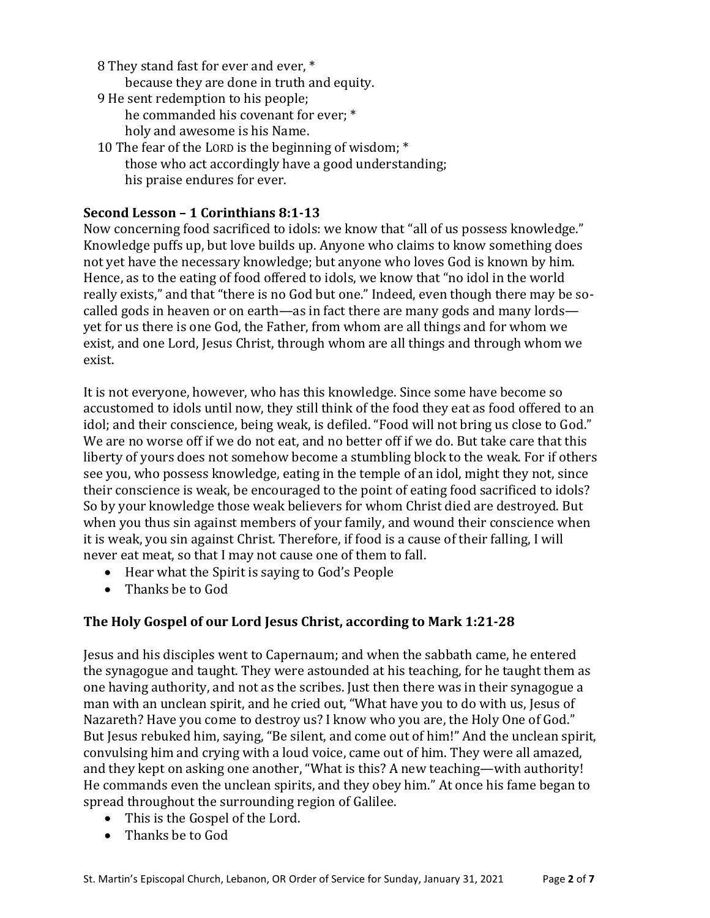- 8 They stand fast for ever and ever, \* because they are done in truth and equity.
- 9 He sent redemption to his people; he commanded his covenant for ever; \* holy and awesome is his Name.
- 10 The fear of the LORD is the beginning of wisdom; \* those who act accordingly have a good understanding; his praise endures for ever.

# **Second Lesson – 1 Corinthians 8:1-13**

Now concerning food sacrificed to idols: we know that "all of us possess knowledge." Knowledge puffs up, but love builds up. Anyone who claims to know something does not yet have the necessary knowledge; but anyone who loves God is known by him. Hence, as to the eating of food offered to idols, we know that "no idol in the world really exists," and that "there is no God but one." Indeed, even though there may be socalled gods in heaven or on earth—as in fact there are many gods and many lords yet for us there is one God, the Father, from whom are all things and for whom we exist, and one Lord, Jesus Christ, through whom are all things and through whom we exist.

It is not everyone, however, who has this knowledge. Since some have become so accustomed to idols until now, they still think of the food they eat as food offered to an idol; and their conscience, being weak, is defiled. "Food will not bring us close to God." We are no worse off if we do not eat, and no better off if we do. But take care that this liberty of yours does not somehow become a stumbling block to the weak. For if others see you, who possess knowledge, eating in the temple of an idol, might they not, since their conscience is weak, be encouraged to the point of eating food sacrificed to idols? So by your knowledge those weak believers for whom Christ died are destroyed. But when you thus sin against members of your family, and wound their conscience when it is weak, you sin against Christ. Therefore, if food is a cause of their falling, I will never eat meat, so that I may not cause one of them to fall.

- Hear what the Spirit is saying to God's People
- Thanks be to God

# **The Holy Gospel of our Lord Jesus Christ, according to Mark 1:21-28**

Jesus and his disciples went to Capernaum; and when the sabbath came, he entered the synagogue and taught. They were astounded at his teaching, for he taught them as one having authority, and not as the scribes. Just then there was in their synagogue a man with an unclean spirit, and he cried out, "What have you to do with us, Jesus of Nazareth? Have you come to destroy us? I know who you are, the Holy One of God." But Jesus rebuked him, saying, "Be silent, and come out of him!" And the unclean spirit, convulsing him and crying with a loud voice, came out of him. They were all amazed, and they kept on asking one another, "What is this? A new teaching—with authority! He commands even the unclean spirits, and they obey him." At once his fame began to spread throughout the surrounding region of Galilee.

- This is the Gospel of the Lord.
- Thanks be to God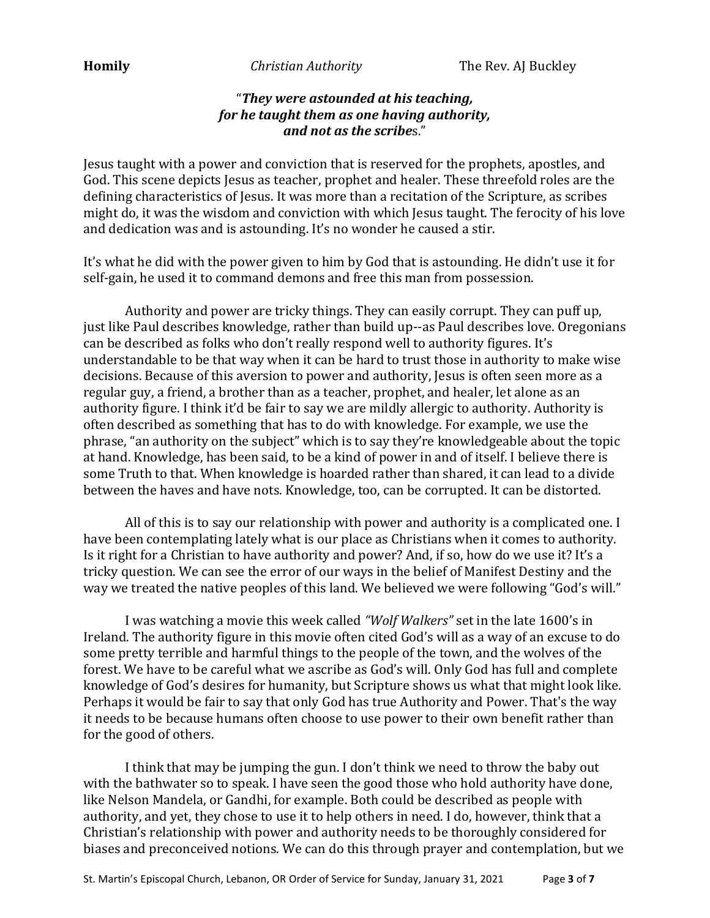# "*They were astounded at his teaching, for he taught them as one having authority, and not as the scribe*s."

Jesus taught with a power and conviction that is reserved for the prophets, apostles, and God. This scene depicts Jesus as teacher, prophet and healer. These threefold roles are the defining characteristics of Jesus. It was more than a recitation of the Scripture, as scribes might do, it was the wisdom and conviction with which Jesus taught. The ferocity of his love and dedication was and is astounding. It's no wonder he caused a stir.

It's what he did with the power given to him by God that is astounding. He didn't use it for self-gain, he used it to command demons and free this man from possession.

Authority and power are tricky things. They can easily corrupt. They can puff up, just like Paul describes knowledge, rather than build up--as Paul describes love. Oregonians can be described as folks who don't really respond well to authority figures. It's understandable to be that way when it can be hard to trust those in authority to make wise decisions. Because of this aversion to power and authority, Jesus is often seen more as a regular guy, a friend, a brother than as a teacher, prophet, and healer, let alone as an authority figure. I think it'd be fair to say we are mildly allergic to authority. Authority is often described as something that has to do with knowledge. For example, we use the phrase, "an authority on the subject" which is to say they're knowledgeable about the topic at hand. Knowledge, has been said, to be a kind of power in and of itself. I believe there is some Truth to that. When knowledge is hoarded rather than shared, it can lead to a divide between the haves and have nots. Knowledge, too, can be corrupted. It can be distorted.

All of this is to say our relationship with power and authority is a complicated one. I have been contemplating lately what is our place as Christians when it comes to authority. Is it right for a Christian to have authority and power? And, if so, how do we use it? It's a tricky question. We can see the error of our ways in the belief of Manifest Destiny and the way we treated the native peoples of this land. We believed we were following "God's will."

I was watching a movie this week called *"Wolf Walkers"* set in the late 1600's in Ireland. The authority figure in this movie often cited God's will as a way of an excuse to do some pretty terrible and harmful things to the people of the town, and the wolves of the forest. We have to be careful what we ascribe as God's will. Only God has full and complete knowledge of God's desires for humanity, but Scripture shows us what that might look like. Perhaps it would be fair to say that only God has true Authority and Power. That's the way it needs to be because humans often choose to use power to their own benefit rather than for the good of others.

I think that may be jumping the gun. I don't think we need to throw the baby out with the bathwater so to speak. I have seen the good those who hold authority have done, like Nelson Mandela, or Gandhi, for example. Both could be described as people with authority, and yet, they chose to use it to help others in need. I do, however, think that a Christian's relationship with power and authority needs to be thoroughly considered for biases and preconceived notions. We can do this through prayer and contemplation, but we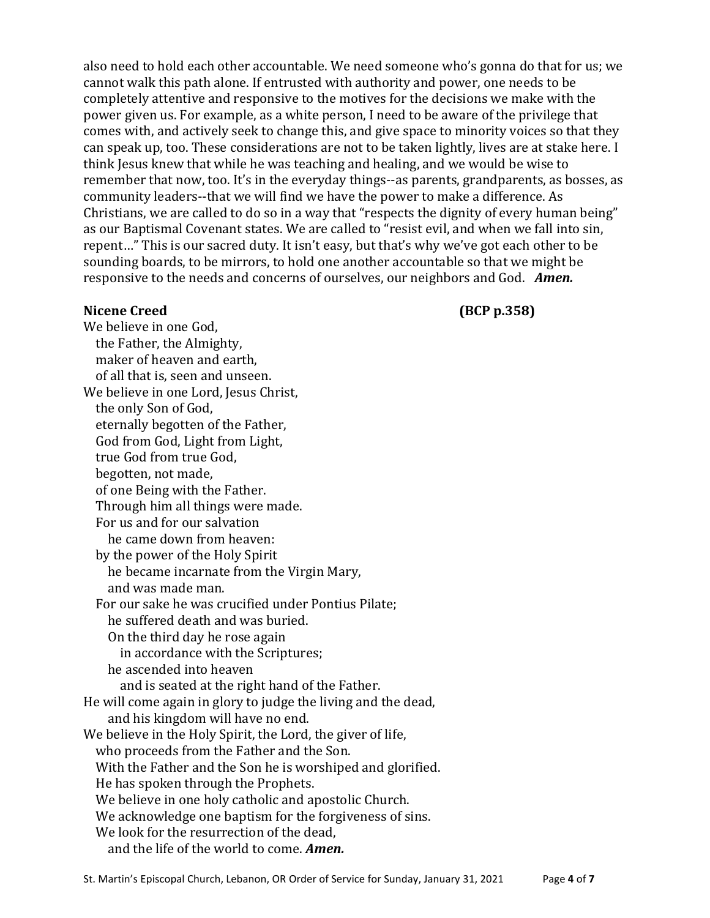also need to hold each other accountable. We need someone who's gonna do that for us; we cannot walk this path alone. If entrusted with authority and power, one needs to be completely attentive and responsive to the motives for the decisions we make with the power given us. For example, as a white person, I need to be aware of the privilege that comes with, and actively seek to change this, and give space to minority voices so that they can speak up, too. These considerations are not to be taken lightly, lives are at stake here. I think Jesus knew that while he was teaching and healing, and we would be wise to remember that now, too. It's in the everyday things--as parents, grandparents, as bosses, as community leaders--that we will find we have the power to make a difference. As Christians, we are called to do so in a way that "respects the dignity of every human being" as our Baptismal Covenant states. We are called to "resist evil, and when we fall into sin, repent…" This is our sacred duty. It isn't easy, but that's why we've got each other to be sounding boards, to be mirrors, to hold one another accountable so that we might be responsive to the needs and concerns of ourselves, our neighbors and God. *Amen.* 

#### Nicene Creed **(BCP p.358)**

We believe in one God, the Father, the Almighty, maker of heaven and earth, of all that is, seen and unseen. We believe in one Lord, Jesus Christ, the only Son of God, eternally begotten of the Father, God from God, Light from Light, true God from true God, begotten, not made, of one Being with the Father. Through him all things were made. For us and for our salvation he came down from heaven: by the power of the Holy Spirit he became incarnate from the Virgin Mary, and was made man. For our sake he was crucified under Pontius Pilate; he suffered death and was buried. On the third day he rose again in accordance with the Scriptures; he ascended into heaven and is seated at the right hand of the Father. He will come again in glory to judge the living and the dead, and his kingdom will have no end. We believe in the Holy Spirit, the Lord, the giver of life, who proceeds from the Father and the Son. With the Father and the Son he is worshiped and glorified. He has spoken through the Prophets. We believe in one holy catholic and apostolic Church. We acknowledge one baptism for the forgiveness of sins. We look for the resurrection of the dead. and the life of the world to come. *Amen.*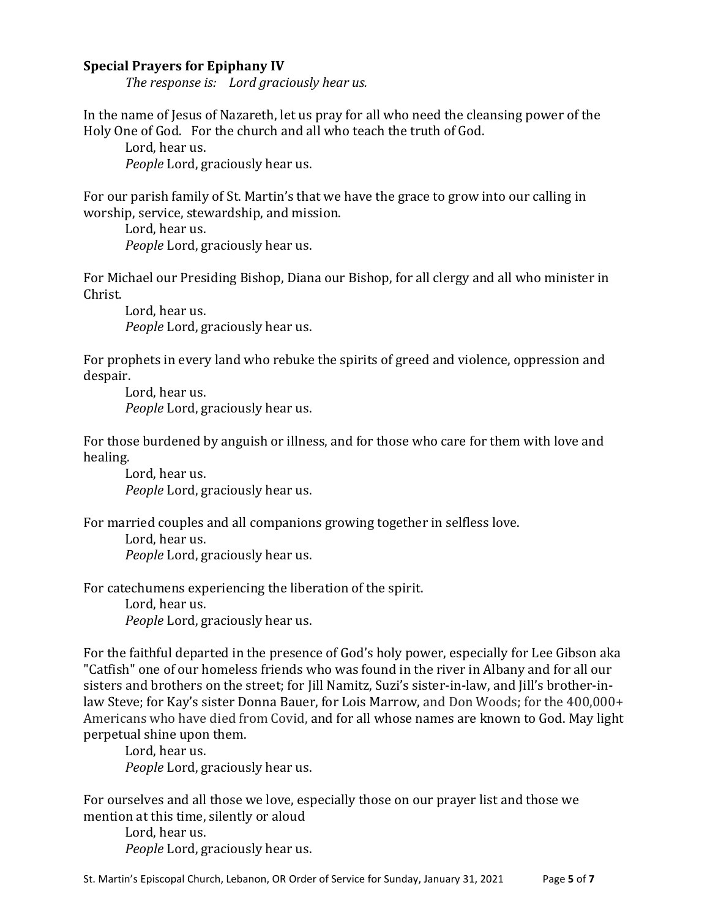## **Special Prayers for Epiphany IV**

*The response is: Lord graciously hear us.*

In the name of Jesus of Nazareth, let us pray for all who need the cleansing power of the Holy One of God. For the church and all who teach the truth of God.

Lord, hear us. *People* Lord, graciously hear us.

For our parish family of St. Martin's that we have the grace to grow into our calling in worship, service, stewardship, and mission.

Lord, hear us. *People* Lord, graciously hear us.

For Michael our Presiding Bishop, Diana our Bishop, for all clergy and all who minister in Christ.

Lord, hear us. *People* Lord, graciously hear us.

For prophets in every land who rebuke the spirits of greed and violence, oppression and despair.

Lord, hear us. *People* Lord, graciously hear us.

For those burdened by anguish or illness, and for those who care for them with love and healing.

Lord, hear us. *People* Lord, graciously hear us.

For married couples and all companions growing together in selfless love.

Lord, hear us. *People* Lord, graciously hear us.

For catechumens experiencing the liberation of the spirit. Lord, hear us. *People* Lord, graciously hear us.

For the faithful departed in the presence of God's holy power, especially for Lee Gibson aka "Catfish" one of our homeless friends who was found in the river in Albany and for all our sisters and brothers on the street; for Jill Namitz, Suzi's sister-in-law, and Jill's brother-inlaw Steve; for Kay's sister Donna Bauer, for Lois Marrow, and Don Woods; for the 400,000+ Americans who have died from Covid, and for all whose names are known to God. May light perpetual shine upon them.

Lord, hear us. *People* Lord, graciously hear us.

For ourselves and all those we love, especially those on our prayer list and those we mention at this time, silently or aloud

Lord, hear us. *People* Lord, graciously hear us.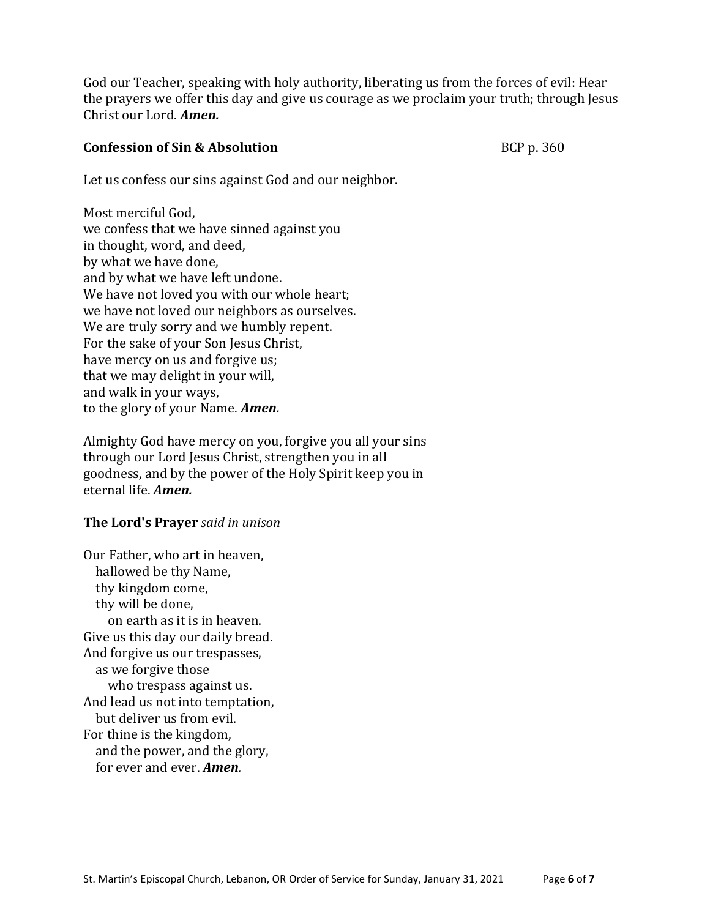God our Teacher, speaking with holy authority, liberating us from the forces of evil: Hear the prayers we offer this day and give us courage as we proclaim your truth; through Jesus Christ our Lord. *Amen.*

## **Confession of Sin & Absolution BCP p. 360**

Let us confess our sins against God and our neighbor.

Most merciful God, we confess that we have sinned against you in thought, word, and deed, by what we have done, and by what we have left undone. We have not loved you with our whole heart; we have not loved our neighbors as ourselves. We are truly sorry and we humbly repent. For the sake of your Son Jesus Christ, have mercy on us and forgive us; that we may delight in your will, and walk in your ways, to the glory of your Name. *Amen.*

Almighty God have mercy on you, forgive you all your sins through our Lord Jesus Christ, strengthen you in all goodness, and by the power of the Holy Spirit keep you in eternal life. *Amen.*

# **The Lord's Prayer** *said in unison*

Our Father, who art in heaven, hallowed be thy Name, thy kingdom come, thy will be done, on earth as it is in heaven. Give us this day our daily bread. And forgive us our trespasses, as we forgive those who trespass against us. And lead us not into temptation, but deliver us from evil. For thine is the kingdom, and the power, and the glory, for ever and ever. *Amen.*